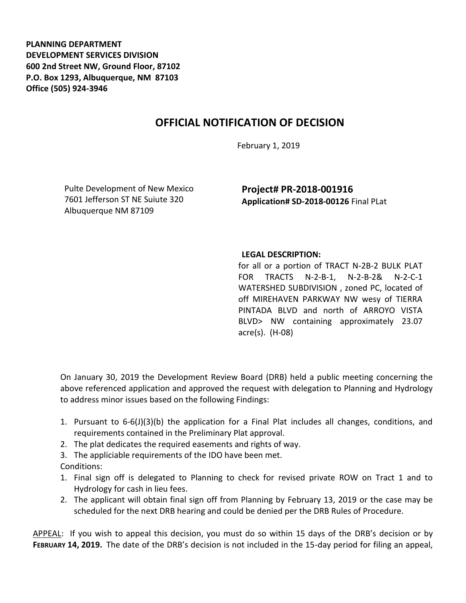**PLANNING DEPARTMENT DEVELOPMENT SERVICES DIVISION 600 2nd Street NW, Ground Floor, 87102 P.O. Box 1293, Albuquerque, NM 87103 Office (505) 924-3946** 

## **OFFICIAL NOTIFICATION OF DECISION**

February 1, 2019

Pulte Development of New Mexico 7601 Jefferson ST NE Suiute 320 Albuquerque NM 87109

**Project# PR-2018-001916 Application# SD-2018-00126** Final PLat

## **LEGAL DESCRIPTION:**

for all or a portion of TRACT N-2B-2 BULK PLAT FOR TRACTS N-2-B-1, N-2-B-2& N-2-C-1 WATERSHED SUBDIVISION , zoned PC, located of off MIREHAVEN PARKWAY NW wesy of TIERRA PINTADA BLVD and north of ARROYO VISTA BLVD> NW containing approximately 23.07 acre(s). (H-08)

On January 30, 2019 the Development Review Board (DRB) held a public meeting concerning the above referenced application and approved the request with delegation to Planning and Hydrology to address minor issues based on the following Findings:

- 1. Pursuant to 6-6(J)(3)(b) the application for a Final Plat includes all changes, conditions, and requirements contained in the Preliminary Plat approval.
- 2. The plat dedicates the required easements and rights of way.
- 3. The appliciable requirements of the IDO have been met. Conditions:
- 1. Final sign off is delegated to Planning to check for revised private ROW on Tract 1 and to Hydrology for cash in lieu fees.
- 2. The applicant will obtain final sign off from Planning by February 13, 2019 or the case may be scheduled for the next DRB hearing and could be denied per the DRB Rules of Procedure.

APPEAL: If you wish to appeal this decision, you must do so within 15 days of the DRB's decision or by **FEBRUARY 14, 2019.** The date of the DRB's decision is not included in the 15-day period for filing an appeal,